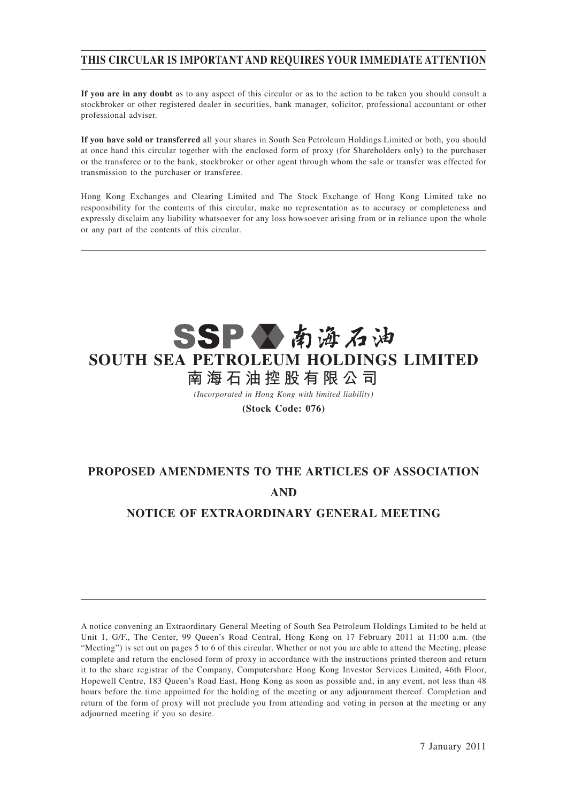## **THIS CIRCULAR IS IMPORTANT AND REQUIRES YOUR IMMEDIATE ATTENTION**

**If you are in any doubt** as to any aspect of this circular or as to the action to be taken you should consult a stockbroker or other registered dealer in securities, bank manager, solicitor, professional accountant or other professional adviser.

**If you have sold or transferred** all your shares in South Sea Petroleum Holdings Limited or both, you should at once hand this circular together with the enclosed form of proxy (for Shareholders only) to the purchaser or the transferee or to the bank, stockbroker or other agent through whom the sale or transfer was effected for transmission to the purchaser or transferee.

Hong Kong Exchanges and Clearing Limited and The Stock Exchange of Hong Kong Limited take no responsibility for the contents of this circular, make no representation as to accuracy or completeness and expressly disclaim any liability whatsoever for any loss howsoever arising from or in reliance upon the whole or any part of the contents of this circular.



*(Incorporated in Hong Kong with limited liability)*

**(Stock Code: 076)**

## **PROPOSED AMENDMENTS TO THE ARTICLES OF ASSOCIATION AND**

## **NOTICE OF EXTRAORDINARY GENERAL MEETING**

A notice convening an Extraordinary General Meeting of South Sea Petroleum Holdings Limited to be held at Unit 1, G/F., The Center, 99 Queen's Road Central, Hong Kong on 17 February 2011 at 11:00 a.m. (the "Meeting") is set out on pages 5 to 6 of this circular. Whether or not you are able to attend the Meeting, please complete and return the enclosed form of proxy in accordance with the instructions printed thereon and return it to the share registrar of the Company, Computershare Hong Kong Investor Services Limited, 46th Floor, Hopewell Centre, 183 Queen's Road East, Hong Kong as soon as possible and, in any event, not less than 48 hours before the time appointed for the holding of the meeting or any adjournment thereof. Completion and return of the form of proxy will not preclude you from attending and voting in person at the meeting or any adjourned meeting if you so desire.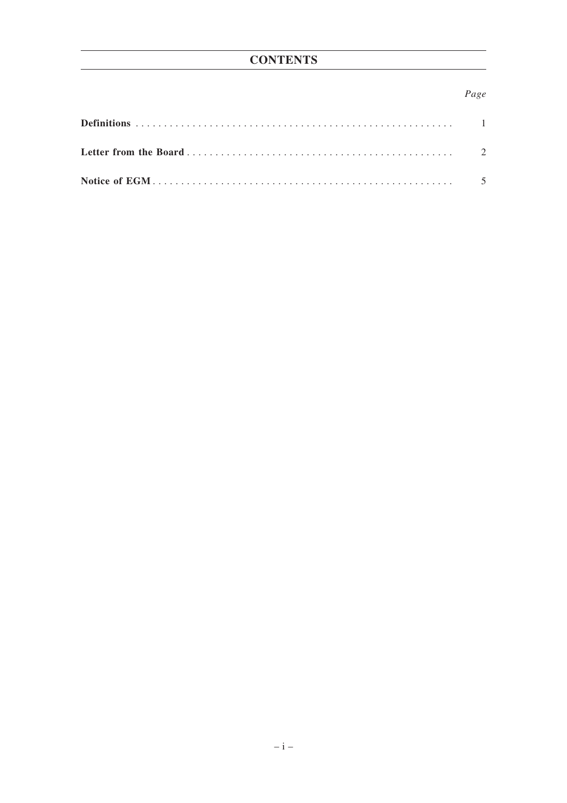## Page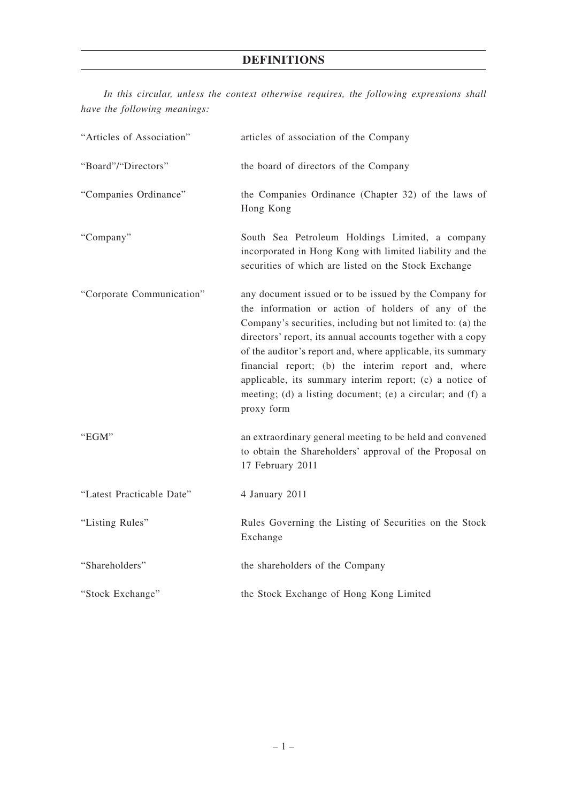## **DEFINITIONS**

|  |                              |  |  |  | In this circular, unless the context otherwise requires, the following expressions shall |  |
|--|------------------------------|--|--|--|------------------------------------------------------------------------------------------|--|
|  | have the following meanings: |  |  |  |                                                                                          |  |

| "Articles of Association" | articles of association of the Company                                                                                                                                                                                                                                                                                                                                                                                                                                                                 |
|---------------------------|--------------------------------------------------------------------------------------------------------------------------------------------------------------------------------------------------------------------------------------------------------------------------------------------------------------------------------------------------------------------------------------------------------------------------------------------------------------------------------------------------------|
| "Board"/"Directors"       | the board of directors of the Company                                                                                                                                                                                                                                                                                                                                                                                                                                                                  |
| "Companies Ordinance"     | the Companies Ordinance (Chapter 32) of the laws of<br>Hong Kong                                                                                                                                                                                                                                                                                                                                                                                                                                       |
| "Company"                 | South Sea Petroleum Holdings Limited, a company<br>incorporated in Hong Kong with limited liability and the<br>securities of which are listed on the Stock Exchange                                                                                                                                                                                                                                                                                                                                    |
| "Corporate Communication" | any document issued or to be issued by the Company for<br>the information or action of holders of any of the<br>Company's securities, including but not limited to: (a) the<br>directors' report, its annual accounts together with a copy<br>of the auditor's report and, where applicable, its summary<br>financial report; (b) the interim report and, where<br>applicable, its summary interim report; (c) a notice of<br>meeting; (d) a listing document; (e) a circular; and (f) a<br>proxy form |
| "EGM"                     | an extraordinary general meeting to be held and convened<br>to obtain the Shareholders' approval of the Proposal on<br>17 February 2011                                                                                                                                                                                                                                                                                                                                                                |
| "Latest Practicable Date" | 4 January 2011                                                                                                                                                                                                                                                                                                                                                                                                                                                                                         |
| "Listing Rules"           | Rules Governing the Listing of Securities on the Stock<br>Exchange                                                                                                                                                                                                                                                                                                                                                                                                                                     |
| "Shareholders"            | the shareholders of the Company                                                                                                                                                                                                                                                                                                                                                                                                                                                                        |
| "Stock Exchange"          | the Stock Exchange of Hong Kong Limited                                                                                                                                                                                                                                                                                                                                                                                                                                                                |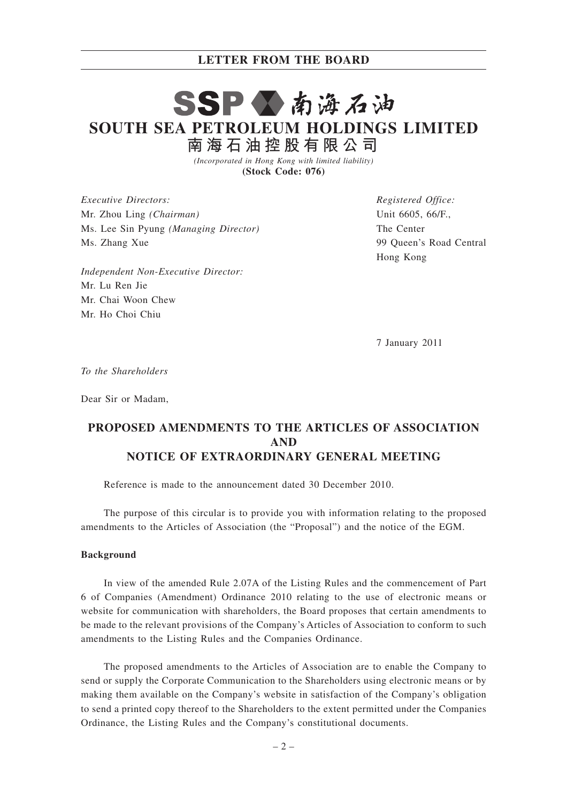#### **LETTER FROM THE BOARD**

## SSP公南海石油 **SOUTH SEA PETROLEUM HOLDINGS LIMITED 南 海 石 油 控 股 有 限 公 司**

*(Incorporated in Hong Kong with limited liability)* **(Stock Code: 076)**

*Executive Directors:* Mr. Zhou Ling *(Chairman)* Ms. Lee Sin Pyung *(Managing Director)* Ms. Zhang Xue

*Independent Non-Executive Director:* Mr. Lu Ren Jie Mr. Chai Woon Chew Mr. Ho Choi Chiu

*Registered Office:* Unit 6605, 66/F., The Center 99 Queen's Road Central Hong Kong

7 January 2011

*To the Shareholders*

Dear Sir or Madam,

## **PROPOSED AMENDMENTS TO THE ARTICLES OF ASSOCIATION AND NOTICE OF EXTRAORDINARY GENERAL MEETING**

Reference is made to the announcement dated 30 December 2010.

The purpose of this circular is to provide you with information relating to the proposed amendments to the Articles of Association (the "Proposal") and the notice of the EGM.

#### **Background**

In view of the amended Rule 2.07A of the Listing Rules and the commencement of Part 6 of Companies (Amendment) Ordinance 2010 relating to the use of electronic means or website for communication with shareholders, the Board proposes that certain amendments to be made to the relevant provisions of the Company's Articles of Association to conform to such amendments to the Listing Rules and the Companies Ordinance.

The proposed amendments to the Articles of Association are to enable the Company to send or supply the Corporate Communication to the Shareholders using electronic means or by making them available on the Company's website in satisfaction of the Company's obligation to send a printed copy thereof to the Shareholders to the extent permitted under the Companies Ordinance, the Listing Rules and the Company's constitutional documents.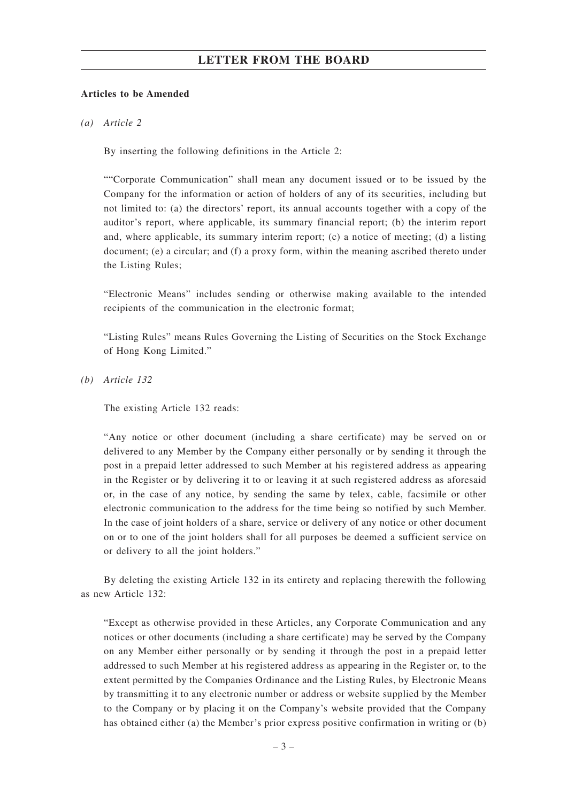### **LETTER FROM THE BOARD**

#### **Articles to be Amended**

*(a) Article 2*

By inserting the following definitions in the Article 2:

""Corporate Communication" shall mean any document issued or to be issued by the Company for the information or action of holders of any of its securities, including but not limited to: (a) the directors' report, its annual accounts together with a copy of the auditor's report, where applicable, its summary financial report; (b) the interim report and, where applicable, its summary interim report; (c) a notice of meeting; (d) a listing document; (e) a circular; and (f) a proxy form, within the meaning ascribed thereto under the Listing Rules;

"Electronic Means" includes sending or otherwise making available to the intended recipients of the communication in the electronic format;

"Listing Rules" means Rules Governing the Listing of Securities on the Stock Exchange of Hong Kong Limited."

*(b) Article 132*

The existing Article 132 reads:

"Any notice or other document (including a share certificate) may be served on or delivered to any Member by the Company either personally or by sending it through the post in a prepaid letter addressed to such Member at his registered address as appearing in the Register or by delivering it to or leaving it at such registered address as aforesaid or, in the case of any notice, by sending the same by telex, cable, facsimile or other electronic communication to the address for the time being so notified by such Member. In the case of joint holders of a share, service or delivery of any notice or other document on or to one of the joint holders shall for all purposes be deemed a sufficient service on or delivery to all the joint holders."

By deleting the existing Article 132 in its entirety and replacing therewith the following as new Article 132:

"Except as otherwise provided in these Articles, any Corporate Communication and any notices or other documents (including a share certificate) may be served by the Company on any Member either personally or by sending it through the post in a prepaid letter addressed to such Member at his registered address as appearing in the Register or, to the extent permitted by the Companies Ordinance and the Listing Rules, by Electronic Means by transmitting it to any electronic number or address or website supplied by the Member to the Company or by placing it on the Company's website provided that the Company has obtained either (a) the Member's prior express positive confirmation in writing or (b)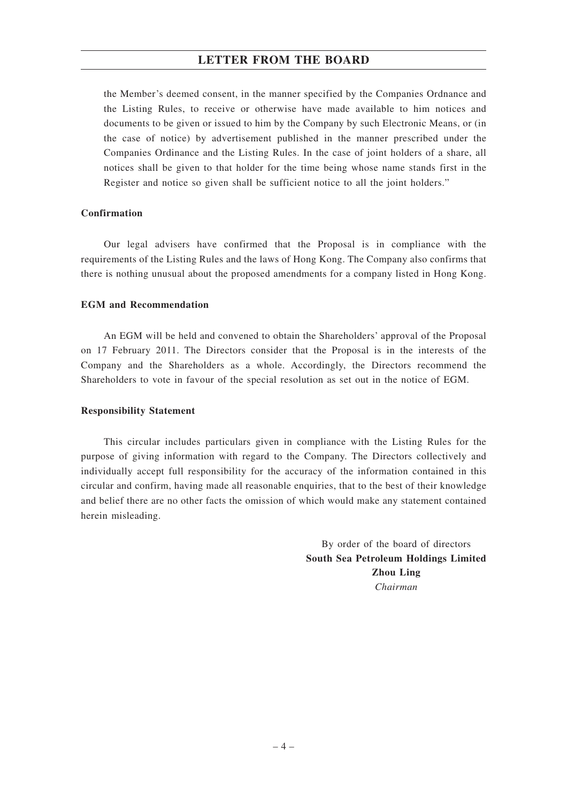### **LETTER FROM THE BOARD**

the Member's deemed consent, in the manner specified by the Companies Ordnance and the Listing Rules, to receive or otherwise have made available to him notices and documents to be given or issued to him by the Company by such Electronic Means, or (in the case of notice) by advertisement published in the manner prescribed under the Companies Ordinance and the Listing Rules. In the case of joint holders of a share, all notices shall be given to that holder for the time being whose name stands first in the Register and notice so given shall be sufficient notice to all the joint holders."

#### **Confirmation**

Our legal advisers have confirmed that the Proposal is in compliance with the requirements of the Listing Rules and the laws of Hong Kong. The Company also confirms that there is nothing unusual about the proposed amendments for a company listed in Hong Kong.

#### **EGM and Recommendation**

An EGM will be held and convened to obtain the Shareholders' approval of the Proposal on 17 February 2011. The Directors consider that the Proposal is in the interests of the Company and the Shareholders as a whole. Accordingly, the Directors recommend the Shareholders to vote in favour of the special resolution as set out in the notice of EGM.

#### **Responsibility Statement**

This circular includes particulars given in compliance with the Listing Rules for the purpose of giving information with regard to the Company. The Directors collectively and individually accept full responsibility for the accuracy of the information contained in this circular and confirm, having made all reasonable enquiries, that to the best of their knowledge and belief there are no other facts the omission of which would make any statement contained herein misleading.

> By order of the board of directors **South Sea Petroleum Holdings Limited Zhou Ling** *Chairman*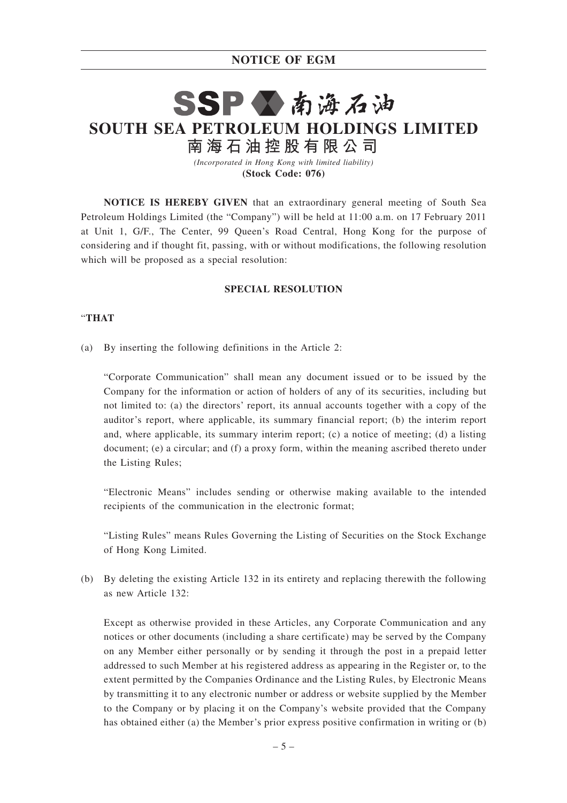## **NOTICE OF EGM**

# SSP公南海石油 **SOUTH SEA PETROLEUM HOLDINGS LIMITED 南 海 石 油 控 股 有 限 公 司**

*(Incorporated in Hong Kong with limited liability)* **(Stock Code: 076)**

**NOTICE IS HEREBY GIVEN** that an extraordinary general meeting of South Sea Petroleum Holdings Limited (the "Company") will be held at 11:00 a.m. on 17 February 2011 at Unit 1, G/F., The Center, 99 Queen's Road Central, Hong Kong for the purpose of considering and if thought fit, passing, with or without modifications, the following resolution which will be proposed as a special resolution:

#### **SPECIAL RESOLUTION**

#### "**THAT**

(a) By inserting the following definitions in the Article 2:

"Corporate Communication" shall mean any document issued or to be issued by the Company for the information or action of holders of any of its securities, including but not limited to: (a) the directors' report, its annual accounts together with a copy of the auditor's report, where applicable, its summary financial report; (b) the interim report and, where applicable, its summary interim report; (c) a notice of meeting; (d) a listing document; (e) a circular; and (f) a proxy form, within the meaning ascribed thereto under the Listing Rules;

"Electronic Means" includes sending or otherwise making available to the intended recipients of the communication in the electronic format;

"Listing Rules" means Rules Governing the Listing of Securities on the Stock Exchange of Hong Kong Limited.

(b) By deleting the existing Article 132 in its entirety and replacing therewith the following as new Article 132:

Except as otherwise provided in these Articles, any Corporate Communication and any notices or other documents (including a share certificate) may be served by the Company on any Member either personally or by sending it through the post in a prepaid letter addressed to such Member at his registered address as appearing in the Register or, to the extent permitted by the Companies Ordinance and the Listing Rules, by Electronic Means by transmitting it to any electronic number or address or website supplied by the Member to the Company or by placing it on the Company's website provided that the Company has obtained either (a) the Member's prior express positive confirmation in writing or (b)